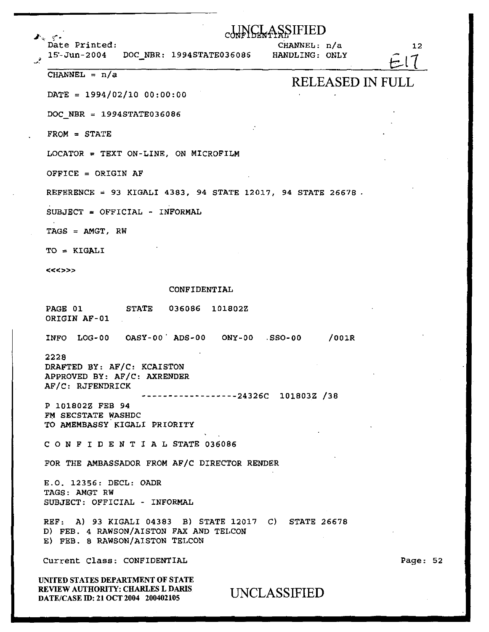| ŞŞIFIED<br>an en en en media (° a<br>Date Printed:<br>CHANNEL: n/a<br>15-Jun-2004 DOC_NBR: 1994STATE036086 HANDLING: ONLY         | 12       |
|-----------------------------------------------------------------------------------------------------------------------------------|----------|
| CHANNEL = $n/a$<br><b>RELEASED IN FULL</b>                                                                                        |          |
| DATE = $1994/02/10 00:00:00$                                                                                                      |          |
| DOC NBR = $1994STATE036086$                                                                                                       |          |
| $FROM = STATE$                                                                                                                    |          |
| $LOCATOR = TEXT ON-LINE, ON MICROFILM$                                                                                            |          |
| OFFICE = ORIGIN AF                                                                                                                |          |
| REFERENCE = 93 KIGALI 4383, 94 STATE 12017, 94 STATE 26678.                                                                       |          |
| $SUBJECT = OFFICIAL - INFORMAL$                                                                                                   |          |
| $TAGS = AMGT, RW$                                                                                                                 |          |
| TO = KIGALI                                                                                                                       |          |
| <<<>>>                                                                                                                            |          |
| CONFIDENTIAL                                                                                                                      |          |
| PAGE 01 STATE 036086 101802Z<br>ORIGIN AF-01                                                                                      |          |
| INFO $LOG-00$ $OASY-00$ $ADS-00$ $ONY-00$ $SSO-00$<br>/001R                                                                       |          |
| 2228<br>DRAFTED BY: AF/C: KCAISTON<br>APPROVED BY: AF/C: AXRENDER<br>AF/C: RJFENDRICK<br>------------24326C 101803Z /38           |          |
| P 101802Z FEB 94<br>FM SECSTATE WASHDC<br>TO AMEMBASSY KIGALI PRIORITY                                                            |          |
| CONFIDENTIAL STATE 036086                                                                                                         |          |
| FOR THE AMBASSADOR FROM AF/C DIRECTOR RENDER                                                                                      |          |
| E.O. 12356: DECL: OADR<br>TAGS: AMGT RW<br>SUBJECT: OFFICIAL - INFORMAL                                                           |          |
| REF: A) 93 KIGALI 04383 B) STATE 12017 C) STATE 26678<br>D) FEB. 4 RAWSON/AISTON FAX AND TELCON<br>E) FEB. 8 RAWSON/AISTON TELCON |          |
| Current Class: CONFIDENTIAL                                                                                                       | Page: 52 |
| UNITED STATES DEPARTMENT OF STATE<br>REVIEW AUTHORITY: CHARLES L DARIS<br>UNCLASSIFIED<br>DATE/CASE ID: 21 OCT 2004 200402105     |          |

 $\ddot{\phantom{a}}$ 

 $\bar{z}$